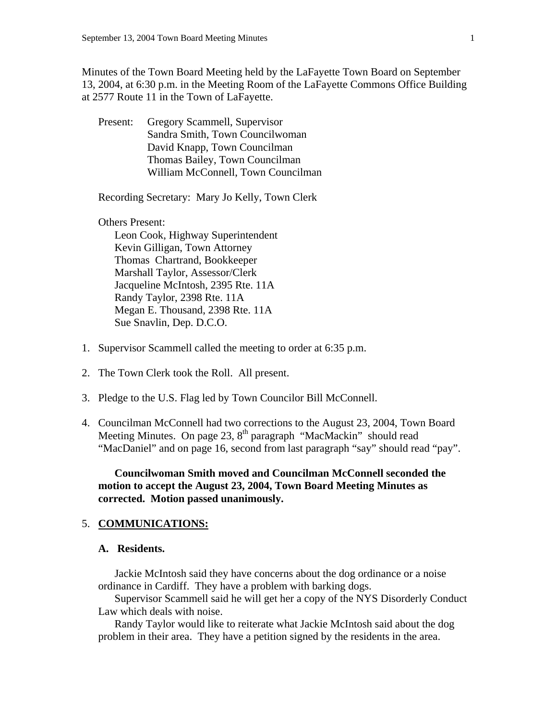Minutes of the Town Board Meeting held by the LaFayette Town Board on September 13, 2004, at 6:30 p.m. in the Meeting Room of the LaFayette Commons Office Building at 2577 Route 11 in the Town of LaFayette.

 Present: Gregory Scammell, Supervisor Sandra Smith, Town Councilwoman David Knapp, Town Councilman Thomas Bailey, Town Councilman William McConnell, Town Councilman

Recording Secretary: Mary Jo Kelly, Town Clerk

Others Present:

 Leon Cook, Highway Superintendent Kevin Gilligan, Town Attorney Thomas Chartrand, Bookkeeper Marshall Taylor, Assessor/Clerk Jacqueline McIntosh, 2395 Rte. 11A Randy Taylor, 2398 Rte. 11A Megan E. Thousand, 2398 Rte. 11A Sue Snavlin, Dep. D.C.O.

- 1. Supervisor Scammell called the meeting to order at 6:35 p.m.
- 2. The Town Clerk took the Roll. All present.
- 3. Pledge to the U.S. Flag led by Town Councilor Bill McConnell.
- 4. Councilman McConnell had two corrections to the August 23, 2004, Town Board Meeting Minutes. On page 23, 8<sup>th</sup> paragraph "MacMackin" should read "MacDaniel" and on page 16, second from last paragraph "say" should read "pay".

 **Councilwoman Smith moved and Councilman McConnell seconded the motion to accept the August 23, 2004, Town Board Meeting Minutes as corrected. Motion passed unanimously.** 

#### 5. **COMMUNICATIONS:**

#### **A. Residents.**

 Jackie McIntosh said they have concerns about the dog ordinance or a noise ordinance in Cardiff. They have a problem with barking dogs.

 Supervisor Scammell said he will get her a copy of the NYS Disorderly Conduct Law which deals with noise.

 Randy Taylor would like to reiterate what Jackie McIntosh said about the dog problem in their area. They have a petition signed by the residents in the area.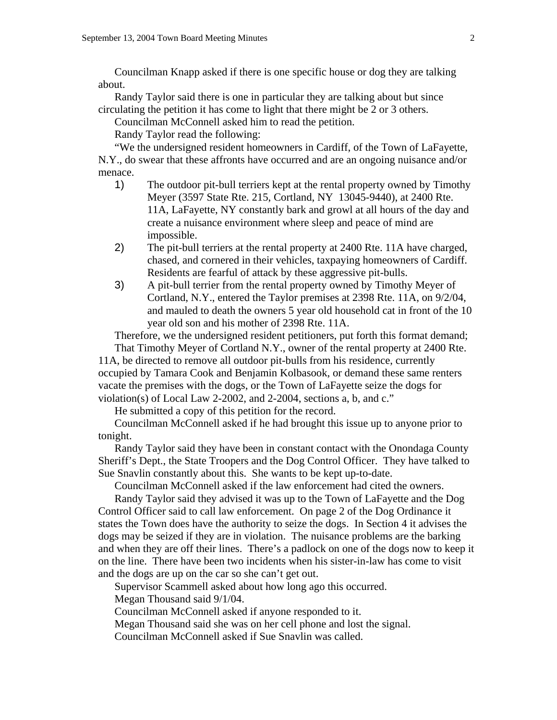Councilman Knapp asked if there is one specific house or dog they are talking about.

 Randy Taylor said there is one in particular they are talking about but since circulating the petition it has come to light that there might be 2 or 3 others.

Councilman McConnell asked him to read the petition.

Randy Taylor read the following:

 "We the undersigned resident homeowners in Cardiff, of the Town of LaFayette, N.Y., do swear that these affronts have occurred and are an ongoing nuisance and/or menace.

- 1) The outdoor pit-bull terriers kept at the rental property owned by Timothy Meyer (3597 State Rte. 215, Cortland, NY 13045-9440), at 2400 Rte. 11A, LaFayette, NY constantly bark and growl at all hours of the day and create a nuisance environment where sleep and peace of mind are impossible.
- 2) The pit-bull terriers at the rental property at 2400 Rte. 11A have charged, chased, and cornered in their vehicles, taxpaying homeowners of Cardiff. Residents are fearful of attack by these aggressive pit-bulls.
- 3) A pit-bull terrier from the rental property owned by Timothy Meyer of Cortland, N.Y., entered the Taylor premises at 2398 Rte. 11A, on 9/2/04, and mauled to death the owners 5 year old household cat in front of the 10 year old son and his mother of 2398 Rte. 11A.

Therefore, we the undersigned resident petitioners, put forth this format demand;

 That Timothy Meyer of Cortland N.Y., owner of the rental property at 2400 Rte. 11A, be directed to remove all outdoor pit-bulls from his residence, currently occupied by Tamara Cook and Benjamin Kolbasook, or demand these same renters vacate the premises with the dogs, or the Town of LaFayette seize the dogs for violation(s) of Local Law 2-2002, and 2-2004, sections a, b, and c."

He submitted a copy of this petition for the record.

 Councilman McConnell asked if he had brought this issue up to anyone prior to tonight.

 Randy Taylor said they have been in constant contact with the Onondaga County Sheriff's Dept., the State Troopers and the Dog Control Officer. They have talked to Sue Snavlin constantly about this. She wants to be kept up-to-date.

Councilman McConnell asked if the law enforcement had cited the owners.

 Randy Taylor said they advised it was up to the Town of LaFayette and the Dog Control Officer said to call law enforcement. On page 2 of the Dog Ordinance it states the Town does have the authority to seize the dogs. In Section 4 it advises the dogs may be seized if they are in violation. The nuisance problems are the barking and when they are off their lines. There's a padlock on one of the dogs now to keep it on the line. There have been two incidents when his sister-in-law has come to visit and the dogs are up on the car so she can't get out.

Supervisor Scammell asked about how long ago this occurred.

Megan Thousand said 9/1/04.

Councilman McConnell asked if anyone responded to it.

Megan Thousand said she was on her cell phone and lost the signal.

Councilman McConnell asked if Sue Snavlin was called.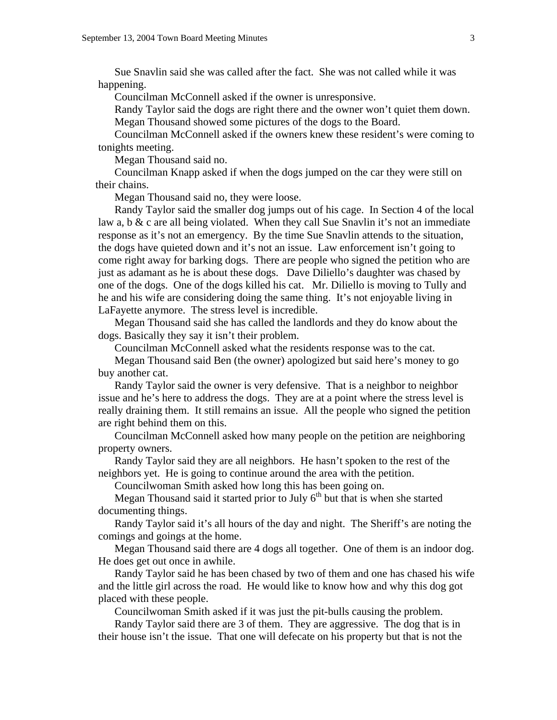Sue Snavlin said she was called after the fact. She was not called while it was happening.

Councilman McConnell asked if the owner is unresponsive.

 Randy Taylor said the dogs are right there and the owner won't quiet them down. Megan Thousand showed some pictures of the dogs to the Board.

 Councilman McConnell asked if the owners knew these resident's were coming to tonights meeting.

Megan Thousand said no.

 Councilman Knapp asked if when the dogs jumped on the car they were still on their chains.

Megan Thousand said no, they were loose.

 Randy Taylor said the smaller dog jumps out of his cage. In Section 4 of the local law a, b & c are all being violated. When they call Sue Snavlin it's not an immediate response as it's not an emergency. By the time Sue Snavlin attends to the situation, the dogs have quieted down and it's not an issue. Law enforcement isn't going to come right away for barking dogs. There are people who signed the petition who are just as adamant as he is about these dogs. Dave Diliello's daughter was chased by one of the dogs. One of the dogs killed his cat. Mr. Diliello is moving to Tully and he and his wife are considering doing the same thing. It's not enjoyable living in LaFayette anymore. The stress level is incredible.

 Megan Thousand said she has called the landlords and they do know about the dogs. Basically they say it isn't their problem.

Councilman McConnell asked what the residents response was to the cat.

 Megan Thousand said Ben (the owner) apologized but said here's money to go buy another cat.

 Randy Taylor said the owner is very defensive. That is a neighbor to neighbor issue and he's here to address the dogs. They are at a point where the stress level is really draining them. It still remains an issue. All the people who signed the petition are right behind them on this.

 Councilman McConnell asked how many people on the petition are neighboring property owners.

 Randy Taylor said they are all neighbors. He hasn't spoken to the rest of the neighbors yet. He is going to continue around the area with the petition.

Councilwoman Smith asked how long this has been going on.

Megan Thousand said it started prior to July  $6<sup>th</sup>$  but that is when she started documenting things.

 Randy Taylor said it's all hours of the day and night. The Sheriff's are noting the comings and goings at the home.

 Megan Thousand said there are 4 dogs all together. One of them is an indoor dog. He does get out once in awhile.

 Randy Taylor said he has been chased by two of them and one has chased his wife and the little girl across the road. He would like to know how and why this dog got placed with these people.

Councilwoman Smith asked if it was just the pit-bulls causing the problem.

 Randy Taylor said there are 3 of them. They are aggressive. The dog that is in their house isn't the issue. That one will defecate on his property but that is not the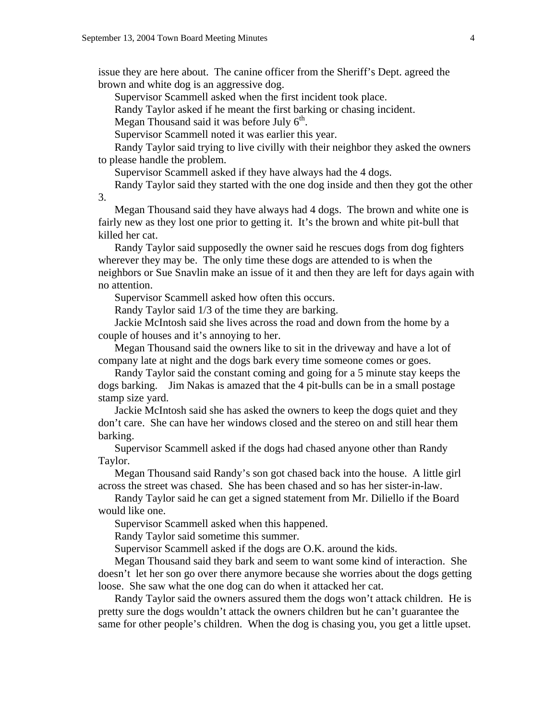issue they are here about. The canine officer from the Sheriff's Dept. agreed the brown and white dog is an aggressive dog.

Supervisor Scammell asked when the first incident took place.

Randy Taylor asked if he meant the first barking or chasing incident.

Megan Thousand said it was before July  $6<sup>th</sup>$ .

Supervisor Scammell noted it was earlier this year.

 Randy Taylor said trying to live civilly with their neighbor they asked the owners to please handle the problem.

Supervisor Scammell asked if they have always had the 4 dogs.

 Randy Taylor said they started with the one dog inside and then they got the other 3.

 Megan Thousand said they have always had 4 dogs. The brown and white one is fairly new as they lost one prior to getting it. It's the brown and white pit-bull that killed her cat.

 Randy Taylor said supposedly the owner said he rescues dogs from dog fighters wherever they may be. The only time these dogs are attended to is when the neighbors or Sue Snavlin make an issue of it and then they are left for days again with no attention.

Supervisor Scammell asked how often this occurs.

Randy Taylor said 1/3 of the time they are barking.

 Jackie McIntosh said she lives across the road and down from the home by a couple of houses and it's annoying to her.

 Megan Thousand said the owners like to sit in the driveway and have a lot of company late at night and the dogs bark every time someone comes or goes.

 Randy Taylor said the constant coming and going for a 5 minute stay keeps the dogs barking. Jim Nakas is amazed that the 4 pit-bulls can be in a small postage stamp size yard.

 Jackie McIntosh said she has asked the owners to keep the dogs quiet and they don't care. She can have her windows closed and the stereo on and still hear them barking.

 Supervisor Scammell asked if the dogs had chased anyone other than Randy Taylor.

 Megan Thousand said Randy's son got chased back into the house. A little girl across the street was chased. She has been chased and so has her sister-in-law.

 Randy Taylor said he can get a signed statement from Mr. Diliello if the Board would like one.

Supervisor Scammell asked when this happened.

Randy Taylor said sometime this summer.

Supervisor Scammell asked if the dogs are O.K. around the kids.

 Megan Thousand said they bark and seem to want some kind of interaction. She doesn't let her son go over there anymore because she worries about the dogs getting loose. She saw what the one dog can do when it attacked her cat.

 Randy Taylor said the owners assured them the dogs won't attack children. He is pretty sure the dogs wouldn't attack the owners children but he can't guarantee the same for other people's children. When the dog is chasing you, you get a little upset.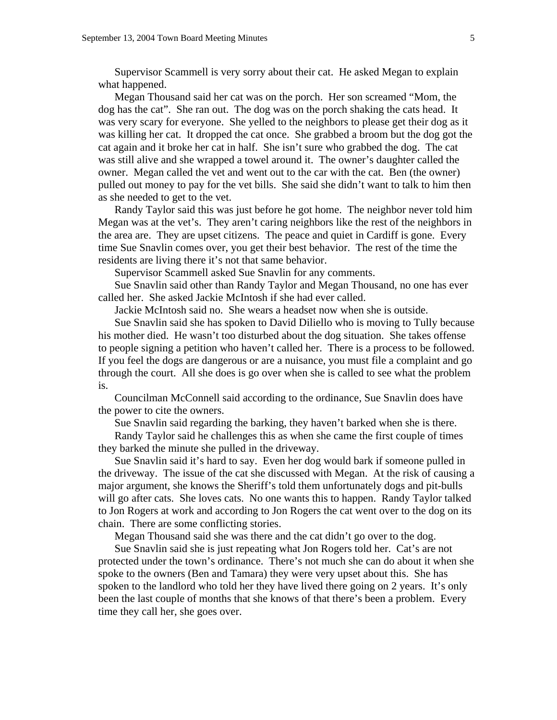Supervisor Scammell is very sorry about their cat. He asked Megan to explain what happened.

 Megan Thousand said her cat was on the porch. Her son screamed "Mom, the dog has the cat". She ran out. The dog was on the porch shaking the cats head. It was very scary for everyone. She yelled to the neighbors to please get their dog as it was killing her cat. It dropped the cat once. She grabbed a broom but the dog got the cat again and it broke her cat in half. She isn't sure who grabbed the dog. The cat was still alive and she wrapped a towel around it. The owner's daughter called the owner. Megan called the vet and went out to the car with the cat. Ben (the owner) pulled out money to pay for the vet bills. She said she didn't want to talk to him then as she needed to get to the vet.

 Randy Taylor said this was just before he got home. The neighbor never told him Megan was at the vet's. They aren't caring neighbors like the rest of the neighbors in the area are. They are upset citizens. The peace and quiet in Cardiff is gone. Every time Sue Snavlin comes over, you get their best behavior. The rest of the time the residents are living there it's not that same behavior.

Supervisor Scammell asked Sue Snavlin for any comments.

 Sue Snavlin said other than Randy Taylor and Megan Thousand, no one has ever called her. She asked Jackie McIntosh if she had ever called.

Jackie McIntosh said no. She wears a headset now when she is outside.

 Sue Snavlin said she has spoken to David Diliello who is moving to Tully because his mother died. He wasn't too disturbed about the dog situation. She takes offense to people signing a petition who haven't called her. There is a process to be followed. If you feel the dogs are dangerous or are a nuisance, you must file a complaint and go through the court. All she does is go over when she is called to see what the problem is.

 Councilman McConnell said according to the ordinance, Sue Snavlin does have the power to cite the owners.

Sue Snavlin said regarding the barking, they haven't barked when she is there.

 Randy Taylor said he challenges this as when she came the first couple of times they barked the minute she pulled in the driveway.

 Sue Snavlin said it's hard to say. Even her dog would bark if someone pulled in the driveway. The issue of the cat she discussed with Megan. At the risk of causing a major argument, she knows the Sheriff's told them unfortunately dogs and pit-bulls will go after cats. She loves cats. No one wants this to happen. Randy Taylor talked to Jon Rogers at work and according to Jon Rogers the cat went over to the dog on its chain. There are some conflicting stories.

Megan Thousand said she was there and the cat didn't go over to the dog.

 Sue Snavlin said she is just repeating what Jon Rogers told her. Cat's are not protected under the town's ordinance. There's not much she can do about it when she spoke to the owners (Ben and Tamara) they were very upset about this. She has spoken to the landlord who told her they have lived there going on 2 years. It's only been the last couple of months that she knows of that there's been a problem. Every time they call her, she goes over.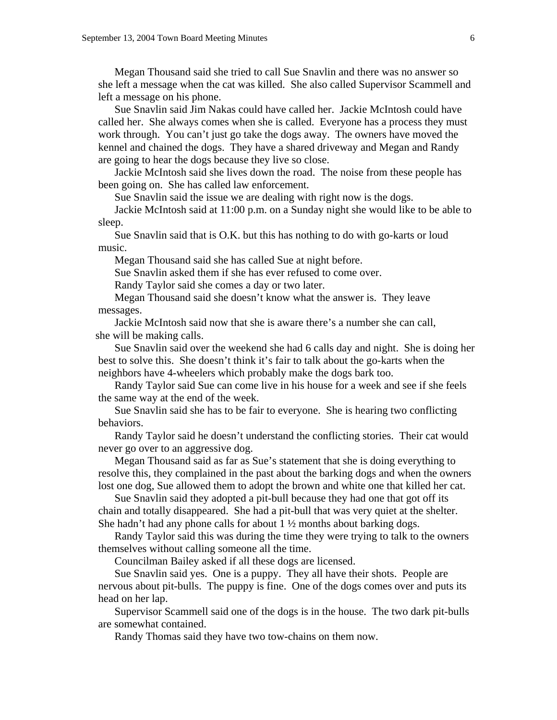Megan Thousand said she tried to call Sue Snavlin and there was no answer so she left a message when the cat was killed. She also called Supervisor Scammell and left a message on his phone.

 Sue Snavlin said Jim Nakas could have called her. Jackie McIntosh could have called her. She always comes when she is called. Everyone has a process they must work through. You can't just go take the dogs away. The owners have moved the kennel and chained the dogs. They have a shared driveway and Megan and Randy are going to hear the dogs because they live so close.

 Jackie McIntosh said she lives down the road. The noise from these people has been going on. She has called law enforcement.

Sue Snavlin said the issue we are dealing with right now is the dogs.

 Jackie McIntosh said at 11:00 p.m. on a Sunday night she would like to be able to sleep.

 Sue Snavlin said that is O.K. but this has nothing to do with go-karts or loud music.

Megan Thousand said she has called Sue at night before.

Sue Snavlin asked them if she has ever refused to come over.

Randy Taylor said she comes a day or two later.

 Megan Thousand said she doesn't know what the answer is. They leave messages.

 Jackie McIntosh said now that she is aware there's a number she can call, she will be making calls.

 Sue Snavlin said over the weekend she had 6 calls day and night. She is doing her best to solve this. She doesn't think it's fair to talk about the go-karts when the neighbors have 4-wheelers which probably make the dogs bark too.

 Randy Taylor said Sue can come live in his house for a week and see if she feels the same way at the end of the week.

 Sue Snavlin said she has to be fair to everyone. She is hearing two conflicting behaviors.

 Randy Taylor said he doesn't understand the conflicting stories. Their cat would never go over to an aggressive dog.

 Megan Thousand said as far as Sue's statement that she is doing everything to resolve this, they complained in the past about the barking dogs and when the owners lost one dog, Sue allowed them to adopt the brown and white one that killed her cat.

 Sue Snavlin said they adopted a pit-bull because they had one that got off its chain and totally disappeared. She had a pit-bull that was very quiet at the shelter. She hadn't had any phone calls for about  $1\frac{1}{2}$  months about barking dogs.

 Randy Taylor said this was during the time they were trying to talk to the owners themselves without calling someone all the time.

Councilman Bailey asked if all these dogs are licensed.

 Sue Snavlin said yes. One is a puppy. They all have their shots. People are nervous about pit-bulls. The puppy is fine. One of the dogs comes over and puts its head on her lap.

 Supervisor Scammell said one of the dogs is in the house. The two dark pit-bulls are somewhat contained.

Randy Thomas said they have two tow-chains on them now.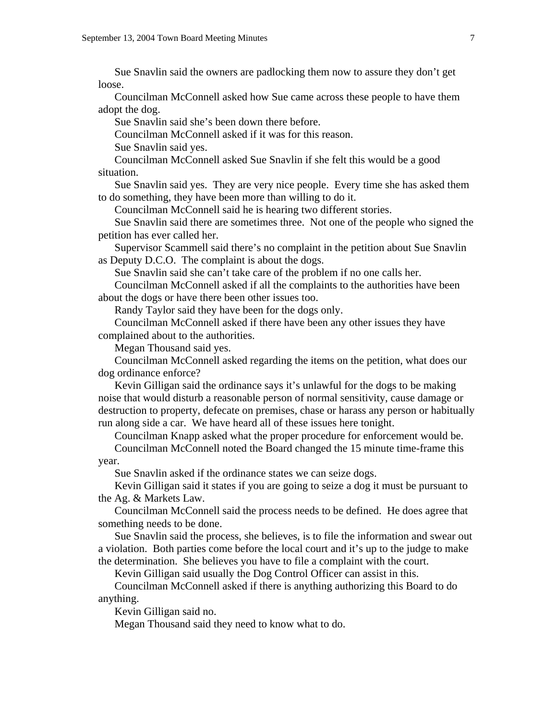Sue Snavlin said the owners are padlocking them now to assure they don't get loose.

 Councilman McConnell asked how Sue came across these people to have them adopt the dog.

Sue Snavlin said she's been down there before.

Councilman McConnell asked if it was for this reason.

Sue Snavlin said yes.

 Councilman McConnell asked Sue Snavlin if she felt this would be a good situation.

 Sue Snavlin said yes. They are very nice people. Every time she has asked them to do something, they have been more than willing to do it.

Councilman McConnell said he is hearing two different stories.

 Sue Snavlin said there are sometimes three. Not one of the people who signed the petition has ever called her.

 Supervisor Scammell said there's no complaint in the petition about Sue Snavlin as Deputy D.C.O. The complaint is about the dogs.

Sue Snavlin said she can't take care of the problem if no one calls her.

 Councilman McConnell asked if all the complaints to the authorities have been about the dogs or have there been other issues too.

Randy Taylor said they have been for the dogs only.

 Councilman McConnell asked if there have been any other issues they have complained about to the authorities.

Megan Thousand said yes.

 Councilman McConnell asked regarding the items on the petition, what does our dog ordinance enforce?

 Kevin Gilligan said the ordinance says it's unlawful for the dogs to be making noise that would disturb a reasonable person of normal sensitivity, cause damage or destruction to property, defecate on premises, chase or harass any person or habitually run along side a car. We have heard all of these issues here tonight.

Councilman Knapp asked what the proper procedure for enforcement would be.

 Councilman McConnell noted the Board changed the 15 minute time-frame this year.

Sue Snavlin asked if the ordinance states we can seize dogs.

 Kevin Gilligan said it states if you are going to seize a dog it must be pursuant to the Ag. & Markets Law.

 Councilman McConnell said the process needs to be defined. He does agree that something needs to be done.

 Sue Snavlin said the process, she believes, is to file the information and swear out a violation. Both parties come before the local court and it's up to the judge to make the determination. She believes you have to file a complaint with the court.

Kevin Gilligan said usually the Dog Control Officer can assist in this.

 Councilman McConnell asked if there is anything authorizing this Board to do anything.

Kevin Gilligan said no.

Megan Thousand said they need to know what to do.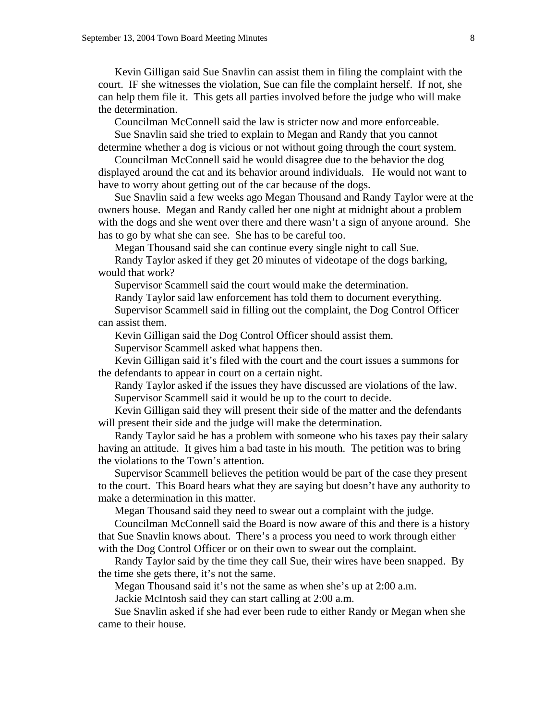Kevin Gilligan said Sue Snavlin can assist them in filing the complaint with the court. IF she witnesses the violation, Sue can file the complaint herself. If not, she can help them file it. This gets all parties involved before the judge who will make the determination.

Councilman McConnell said the law is stricter now and more enforceable.

 Sue Snavlin said she tried to explain to Megan and Randy that you cannot determine whether a dog is vicious or not without going through the court system.

 Councilman McConnell said he would disagree due to the behavior the dog displayed around the cat and its behavior around individuals. He would not want to have to worry about getting out of the car because of the dogs.

 Sue Snavlin said a few weeks ago Megan Thousand and Randy Taylor were at the owners house. Megan and Randy called her one night at midnight about a problem with the dogs and she went over there and there wasn't a sign of anyone around. She has to go by what she can see. She has to be careful too.

Megan Thousand said she can continue every single night to call Sue.

 Randy Taylor asked if they get 20 minutes of videotape of the dogs barking, would that work?

Supervisor Scammell said the court would make the determination.

Randy Taylor said law enforcement has told them to document everything.

 Supervisor Scammell said in filling out the complaint, the Dog Control Officer can assist them.

Kevin Gilligan said the Dog Control Officer should assist them.

Supervisor Scammell asked what happens then.

 Kevin Gilligan said it's filed with the court and the court issues a summons for the defendants to appear in court on a certain night.

 Randy Taylor asked if the issues they have discussed are violations of the law. Supervisor Scammell said it would be up to the court to decide.

 Kevin Gilligan said they will present their side of the matter and the defendants will present their side and the judge will make the determination.

 Randy Taylor said he has a problem with someone who his taxes pay their salary having an attitude. It gives him a bad taste in his mouth. The petition was to bring the violations to the Town's attention.

 Supervisor Scammell believes the petition would be part of the case they present to the court. This Board hears what they are saying but doesn't have any authority to make a determination in this matter.

Megan Thousand said they need to swear out a complaint with the judge.

 Councilman McConnell said the Board is now aware of this and there is a history that Sue Snavlin knows about. There's a process you need to work through either with the Dog Control Officer or on their own to swear out the complaint.

 Randy Taylor said by the time they call Sue, their wires have been snapped. By the time she gets there, it's not the same.

Megan Thousand said it's not the same as when she's up at 2:00 a.m.

Jackie McIntosh said they can start calling at 2:00 a.m.

 Sue Snavlin asked if she had ever been rude to either Randy or Megan when she came to their house.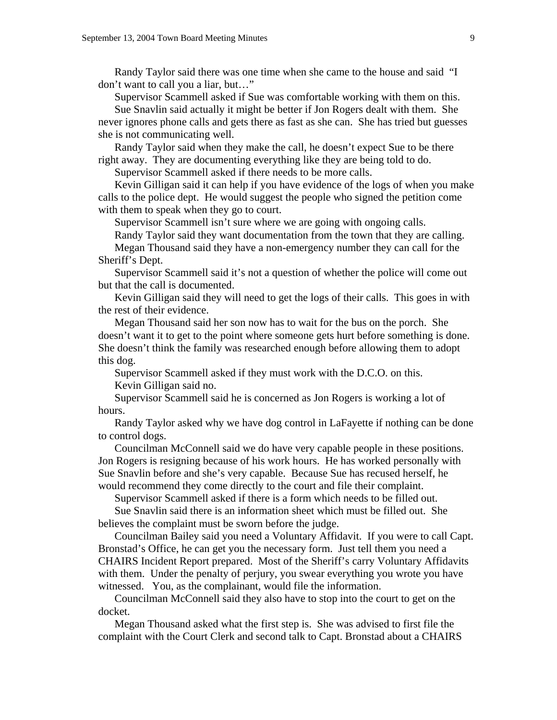Randy Taylor said there was one time when she came to the house and said "I don't want to call you a liar, but…"

Supervisor Scammell asked if Sue was comfortable working with them on this.

 Sue Snavlin said actually it might be better if Jon Rogers dealt with them. She never ignores phone calls and gets there as fast as she can. She has tried but guesses she is not communicating well.

 Randy Taylor said when they make the call, he doesn't expect Sue to be there right away. They are documenting everything like they are being told to do.

Supervisor Scammell asked if there needs to be more calls.

 Kevin Gilligan said it can help if you have evidence of the logs of when you make calls to the police dept. He would suggest the people who signed the petition come with them to speak when they go to court.

Supervisor Scammell isn't sure where we are going with ongoing calls.

Randy Taylor said they want documentation from the town that they are calling.

 Megan Thousand said they have a non-emergency number they can call for the Sheriff's Dept.

 Supervisor Scammell said it's not a question of whether the police will come out but that the call is documented.

 Kevin Gilligan said they will need to get the logs of their calls. This goes in with the rest of their evidence.

 Megan Thousand said her son now has to wait for the bus on the porch. She doesn't want it to get to the point where someone gets hurt before something is done. She doesn't think the family was researched enough before allowing them to adopt this dog.

 Supervisor Scammell asked if they must work with the D.C.O. on this. Kevin Gilligan said no.

 Supervisor Scammell said he is concerned as Jon Rogers is working a lot of hours.

 Randy Taylor asked why we have dog control in LaFayette if nothing can be done to control dogs.

 Councilman McConnell said we do have very capable people in these positions. Jon Rogers is resigning because of his work hours. He has worked personally with Sue Snavlin before and she's very capable. Because Sue has recused herself, he would recommend they come directly to the court and file their complaint.

Supervisor Scammell asked if there is a form which needs to be filled out.

 Sue Snavlin said there is an information sheet which must be filled out. She believes the complaint must be sworn before the judge.

 Councilman Bailey said you need a Voluntary Affidavit. If you were to call Capt. Bronstad's Office, he can get you the necessary form. Just tell them you need a CHAIRS Incident Report prepared. Most of the Sheriff's carry Voluntary Affidavits with them. Under the penalty of perjury, you swear everything you wrote you have witnessed. You, as the complainant, would file the information.

 Councilman McConnell said they also have to stop into the court to get on the docket.

 Megan Thousand asked what the first step is. She was advised to first file the complaint with the Court Clerk and second talk to Capt. Bronstad about a CHAIRS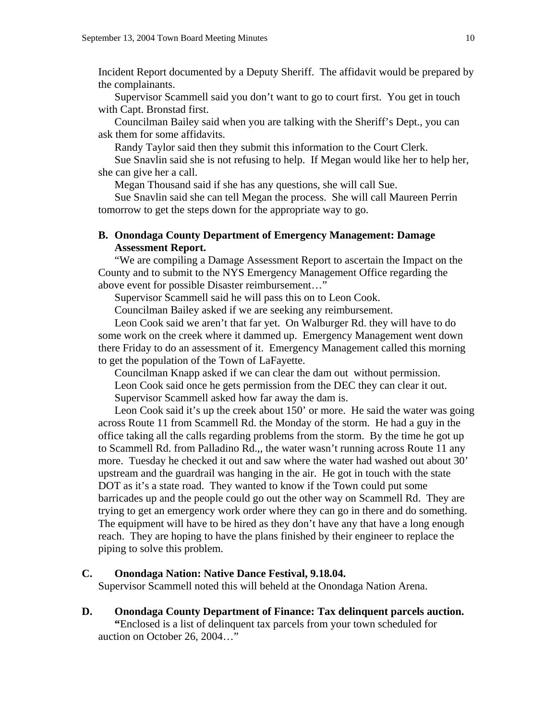Incident Report documented by a Deputy Sheriff. The affidavit would be prepared by the complainants.

 Supervisor Scammell said you don't want to go to court first. You get in touch with Capt. Bronstad first.

 Councilman Bailey said when you are talking with the Sheriff's Dept., you can ask them for some affidavits.

Randy Taylor said then they submit this information to the Court Clerk.

 Sue Snavlin said she is not refusing to help. If Megan would like her to help her, she can give her a call.

Megan Thousand said if she has any questions, she will call Sue.

 Sue Snavlin said she can tell Megan the process. She will call Maureen Perrin tomorrow to get the steps down for the appropriate way to go.

# **B. Onondaga County Department of Emergency Management: Damage Assessment Report.**

"We are compiling a Damage Assessment Report to ascertain the Impact on the County and to submit to the NYS Emergency Management Office regarding the above event for possible Disaster reimbursement…"

Supervisor Scammell said he will pass this on to Leon Cook.

Councilman Bailey asked if we are seeking any reimbursement.

 Leon Cook said we aren't that far yet. On Walburger Rd. they will have to do some work on the creek where it dammed up. Emergency Management went down there Friday to do an assessment of it. Emergency Management called this morning to get the population of the Town of LaFayette.

 Councilman Knapp asked if we can clear the dam out without permission. Leon Cook said once he gets permission from the DEC they can clear it out. Supervisor Scammell asked how far away the dam is.

 Leon Cook said it's up the creek about 150' or more. He said the water was going across Route 11 from Scammell Rd. the Monday of the storm. He had a guy in the office taking all the calls regarding problems from the storm. By the time he got up to Scammell Rd. from Palladino Rd.,, the water wasn't running across Route 11 any more. Tuesday he checked it out and saw where the water had washed out about 30' upstream and the guardrail was hanging in the air. He got in touch with the state DOT as it's a state road. They wanted to know if the Town could put some barricades up and the people could go out the other way on Scammell Rd. They are trying to get an emergency work order where they can go in there and do something. The equipment will have to be hired as they don't have any that have a long enough reach. They are hoping to have the plans finished by their engineer to replace the piping to solve this problem.

#### **C. Onondaga Nation: Native Dance Festival, 9.18.04.**

Supervisor Scammell noted this will beheld at the Onondaga Nation Arena.

**D. Onondaga County Department of Finance: Tax delinquent parcels auction. "**Enclosed is a list of delinquent tax parcels from your town scheduled for auction on October 26, 2004…"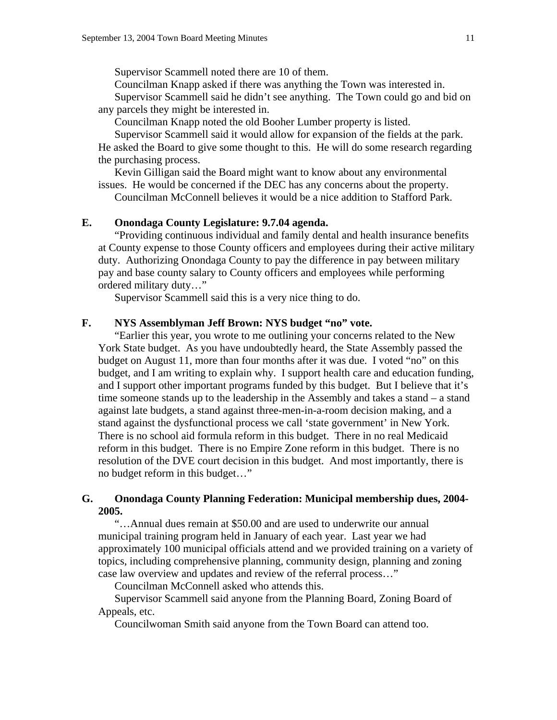Supervisor Scammell noted there are 10 of them.

Councilman Knapp asked if there was anything the Town was interested in.

 Supervisor Scammell said he didn't see anything. The Town could go and bid on any parcels they might be interested in.

Councilman Knapp noted the old Booher Lumber property is listed.

 Supervisor Scammell said it would allow for expansion of the fields at the park. He asked the Board to give some thought to this. He will do some research regarding the purchasing process.

 Kevin Gilligan said the Board might want to know about any environmental issues. He would be concerned if the DEC has any concerns about the property. Councilman McConnell believes it would be a nice addition to Stafford Park.

# **E. Onondaga County Legislature: 9.7.04 agenda.**

 "Providing continuous individual and family dental and health insurance benefits at County expense to those County officers and employees during their active military duty. Authorizing Onondaga County to pay the difference in pay between military pay and base county salary to County officers and employees while performing ordered military duty…"

Supervisor Scammell said this is a very nice thing to do.

### **F. NYS Assemblyman Jeff Brown: NYS budget "no" vote.**

 "Earlier this year, you wrote to me outlining your concerns related to the New York State budget. As you have undoubtedly heard, the State Assembly passed the budget on August 11, more than four months after it was due. I voted "no" on this budget, and I am writing to explain why. I support health care and education funding, and I support other important programs funded by this budget. But I believe that it's time someone stands up to the leadership in the Assembly and takes a stand – a stand against late budgets, a stand against three-men-in-a-room decision making, and a stand against the dysfunctional process we call 'state government' in New York. There is no school aid formula reform in this budget. There in no real Medicaid reform in this budget. There is no Empire Zone reform in this budget. There is no resolution of the DVE court decision in this budget. And most importantly, there is no budget reform in this budget…"

# **G. Onondaga County Planning Federation: Municipal membership dues, 2004- 2005.**

"…Annual dues remain at \$50.00 and are used to underwrite our annual municipal training program held in January of each year. Last year we had approximately 100 municipal officials attend and we provided training on a variety of topics, including comprehensive planning, community design, planning and zoning case law overview and updates and review of the referral process…"

Councilman McConnell asked who attends this.

 Supervisor Scammell said anyone from the Planning Board, Zoning Board of Appeals, etc.

Councilwoman Smith said anyone from the Town Board can attend too.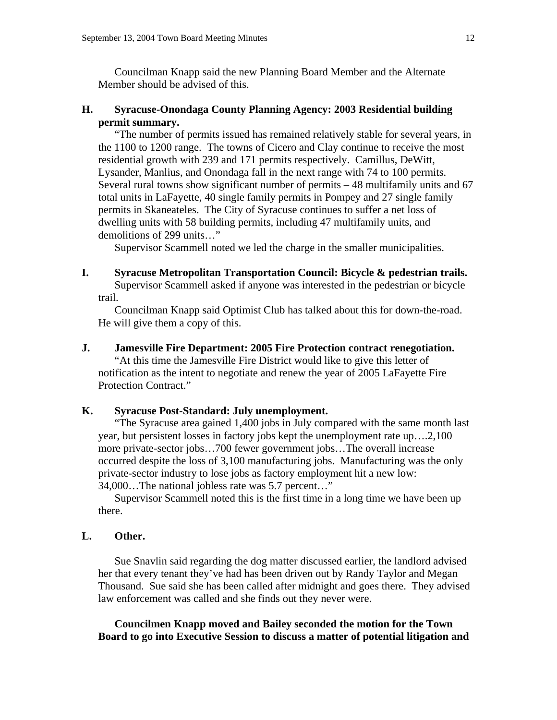Councilman Knapp said the new Planning Board Member and the Alternate Member should be advised of this.

# **H. Syracuse-Onondaga County Planning Agency: 2003 Residential building permit summary.**

"The number of permits issued has remained relatively stable for several years, in the 1100 to 1200 range. The towns of Cicero and Clay continue to receive the most residential growth with 239 and 171 permits respectively. Camillus, DeWitt, Lysander, Manlius, and Onondaga fall in the next range with 74 to 100 permits. Several rural towns show significant number of permits – 48 multifamily units and 67 total units in LaFayette, 40 single family permits in Pompey and 27 single family permits in Skaneateles. The City of Syracuse continues to suffer a net loss of dwelling units with 58 building permits, including 47 multifamily units, and demolitions of 299 units…"

Supervisor Scammell noted we led the charge in the smaller municipalities.

# **I. Syracuse Metropolitan Transportation Council: Bicycle & pedestrian trails.**

Supervisor Scammell asked if anyone was interested in the pedestrian or bicycle trail.

 Councilman Knapp said Optimist Club has talked about this for down-the-road. He will give them a copy of this.

## **J. Jamesville Fire Department: 2005 Fire Protection contract renegotiation.**

 "At this time the Jamesville Fire District would like to give this letter of notification as the intent to negotiate and renew the year of 2005 LaFayette Fire Protection Contract."

# **K. Syracuse Post-Standard: July unemployment.**

"The Syracuse area gained 1,400 jobs in July compared with the same month last year, but persistent losses in factory jobs kept the unemployment rate up….2,100 more private-sector jobs…700 fewer government jobs…The overall increase occurred despite the loss of 3,100 manufacturing jobs. Manufacturing was the only private-sector industry to lose jobs as factory employment hit a new low: 34,000…The national jobless rate was 5.7 percent…"

 Supervisor Scammell noted this is the first time in a long time we have been up there.

# **L. Other.**

 Sue Snavlin said regarding the dog matter discussed earlier, the landlord advised her that every tenant they've had has been driven out by Randy Taylor and Megan Thousand. Sue said she has been called after midnight and goes there. They advised law enforcement was called and she finds out they never were.

 **Councilmen Knapp moved and Bailey seconded the motion for the Town Board to go into Executive Session to discuss a matter of potential litigation and**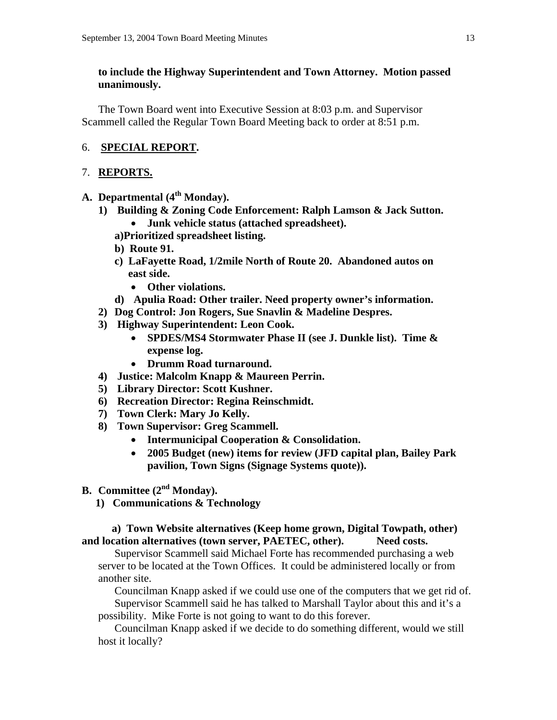# **to include the Highway Superintendent and Town Attorney. Motion passed unanimously.**

 The Town Board went into Executive Session at 8:03 p.m. and Supervisor Scammell called the Regular Town Board Meeting back to order at 8:51 p.m.

# 6. **SPECIAL REPORT.**

# 7. **REPORTS.**

- A. **Departmental** (4<sup>th</sup> Monday).
	- **1) Building & Zoning Code Enforcement: Ralph Lamson & Jack Sutton.**  • **Junk vehicle status (attached spreadsheet).** 
		- **a)Prioritized spreadsheet listing.**
		- **b) Route 91.**
		- **c) LaFayette Road, 1/2mile North of Route 20. Abandoned autos on east side.** 
			- **Other violations.**
		- **d) Apulia Road: Other trailer. Need property owner's information.**
	- **2) Dog Control: Jon Rogers, Sue Snavlin & Madeline Despres.**
	- **3) Highway Superintendent: Leon Cook.** 
		- **SPDES/MS4 Stormwater Phase II (see J. Dunkle list). Time & expense log.**
		- **Drumm Road turnaround.**
	- **4) Justice: Malcolm Knapp & Maureen Perrin.**
	- **5) Library Director: Scott Kushner.**
	- **6) Recreation Director: Regina Reinschmidt.**
	- **7) Town Clerk: Mary Jo Kelly.**
	- **8) Town Supervisor: Greg Scammell.** 
		- **Intermunicipal Cooperation & Consolidation.**
		- **2005 Budget (new) items for review (JFD capital plan, Bailey Park pavilion, Town Signs (Signage Systems quote)).**
- **B. Committee (2nd Monday).** 
	- **1) Communications & Technology**

# **a) Town Website alternatives (Keep home grown, Digital Towpath, other) and location alternatives (town server, PAETEC, other). Need costs.**

 Supervisor Scammell said Michael Forte has recommended purchasing a web server to be located at the Town Offices. It could be administered locally or from another site.

 Councilman Knapp asked if we could use one of the computers that we get rid of. Supervisor Scammell said he has talked to Marshall Taylor about this and it's a

possibility. Mike Forte is not going to want to do this forever.

 Councilman Knapp asked if we decide to do something different, would we still host it locally?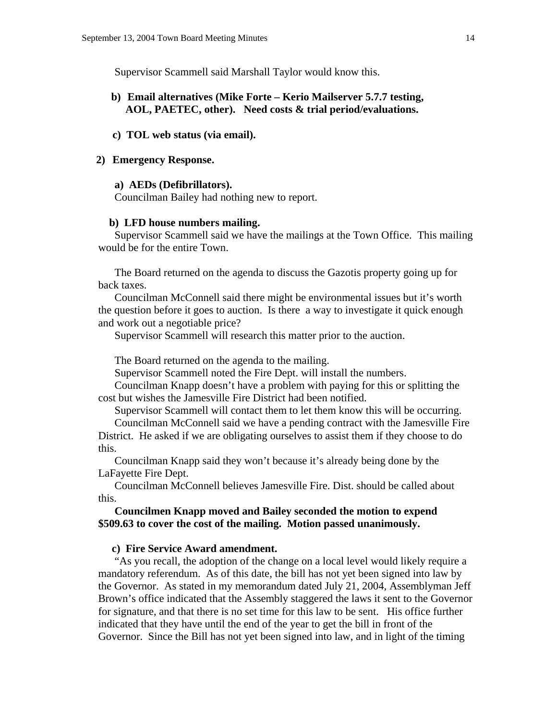Supervisor Scammell said Marshall Taylor would know this.

# **b) Email alternatives (Mike Forte – Kerio Mailserver 5.7.7 testing, AOL, PAETEC, other). Need costs & trial period/evaluations.**

#### **c) TOL web status (via email).**

## **2) Emergency Response.**

## **a) AEDs (Defibrillators).**

Councilman Bailey had nothing new to report.

#### **b) LFD house numbers mailing.**

Supervisor Scammell said we have the mailings at the Town Office. This mailing would be for the entire Town.

 The Board returned on the agenda to discuss the Gazotis property going up for back taxes.

 Councilman McConnell said there might be environmental issues but it's worth the question before it goes to auction. Is there a way to investigate it quick enough and work out a negotiable price?

Supervisor Scammell will research this matter prior to the auction.

The Board returned on the agenda to the mailing.

Supervisor Scammell noted the Fire Dept. will install the numbers.

 Councilman Knapp doesn't have a problem with paying for this or splitting the cost but wishes the Jamesville Fire District had been notified.

Supervisor Scammell will contact them to let them know this will be occurring.

 Councilman McConnell said we have a pending contract with the Jamesville Fire District. He asked if we are obligating ourselves to assist them if they choose to do this.

 Councilman Knapp said they won't because it's already being done by the LaFayette Fire Dept.

 Councilman McConnell believes Jamesville Fire. Dist. should be called about this.

 **Councilmen Knapp moved and Bailey seconded the motion to expend \$509.63 to cover the cost of the mailing. Motion passed unanimously.**

## **c) Fire Service Award amendment.**

"As you recall, the adoption of the change on a local level would likely require a mandatory referendum. As of this date, the bill has not yet been signed into law by the Governor. As stated in my memorandum dated July 21, 2004, Assemblyman Jeff Brown's office indicated that the Assembly staggered the laws it sent to the Governor for signature, and that there is no set time for this law to be sent. His office further indicated that they have until the end of the year to get the bill in front of the Governor. Since the Bill has not yet been signed into law, and in light of the timing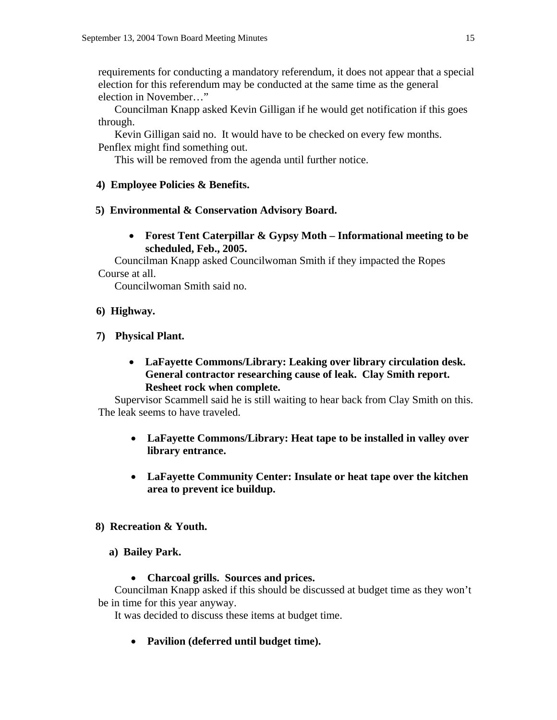requirements for conducting a mandatory referendum, it does not appear that a special election for this referendum may be conducted at the same time as the general election in November…"

 Councilman Knapp asked Kevin Gilligan if he would get notification if this goes through.

 Kevin Gilligan said no. It would have to be checked on every few months. Penflex might find something out.

This will be removed from the agenda until further notice.

# **4) Employee Policies & Benefits.**

# **5) Environmental & Conservation Advisory Board.**

• **Forest Tent Caterpillar & Gypsy Moth – Informational meeting to be scheduled, Feb., 2005.** 

Councilman Knapp asked Councilwoman Smith if they impacted the Ropes Course at all.

Councilwoman Smith said no.

# **6) Highway.**

# **7) Physical Plant.**

• **LaFayette Commons/Library: Leaking over library circulation desk. General contractor researching cause of leak. Clay Smith report. Resheet rock when complete.** 

Supervisor Scammell said he is still waiting to hear back from Clay Smith on this. The leak seems to have traveled.

- **LaFayette Commons/Library: Heat tape to be installed in valley over library entrance.**
- **LaFayette Community Center: Insulate or heat tape over the kitchen area to prevent ice buildup.**

# **8) Recreation & Youth.**

- **a) Bailey Park.** 
	- **Charcoal grills. Sources and prices.**

Councilman Knapp asked if this should be discussed at budget time as they won't be in time for this year anyway.

It was decided to discuss these items at budget time.

• **Pavilion (deferred until budget time).**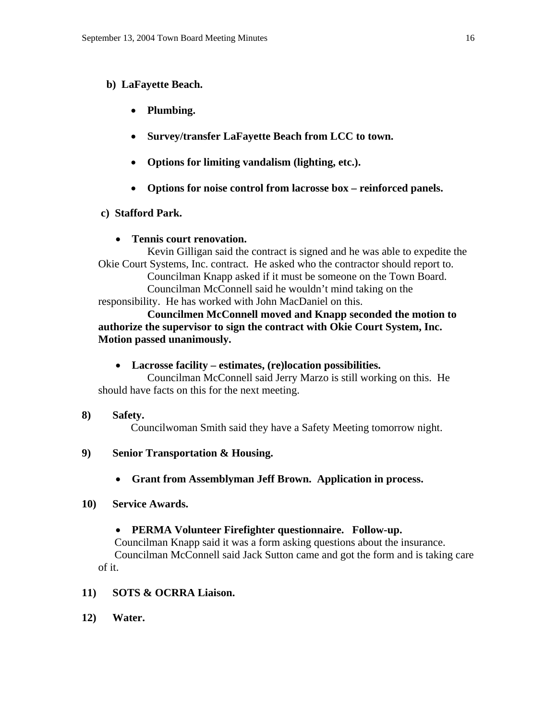# **b) LaFayette Beach.**

- **Plumbing.**
- **Survey/transfer LaFayette Beach from LCC to town.**
- **Options for limiting vandalism (lighting, etc.).**
- **Options for noise control from lacrosse box reinforced panels.**

# **c) Stafford Park.**

# • **Tennis court renovation.**

Kevin Gilligan said the contract is signed and he was able to expedite the Okie Court Systems, Inc. contract. He asked who the contractor should report to. Councilman Knapp asked if it must be someone on the Town Board. Councilman McConnell said he wouldn't mind taking on the responsibility. He has worked with John MacDaniel on this.

 **Councilmen McConnell moved and Knapp seconded the motion to authorize the supervisor to sign the contract with Okie Court System, Inc. Motion passed unanimously.** 

# • **Lacrosse facility – estimates, (re)location possibilities.**

Councilman McConnell said Jerry Marzo is still working on this. He should have facts on this for the next meeting.

**8) Safety.** 

Councilwoman Smith said they have a Safety Meeting tomorrow night.

- **9) Senior Transportation & Housing.** 
	- **Grant from Assemblyman Jeff Brown. Application in process.**

# **10) Service Awards.**

# • **PERMA Volunteer Firefighter questionnaire. Follow-up.**

 Councilman Knapp said it was a form asking questions about the insurance. Councilman McConnell said Jack Sutton came and got the form and is taking care of it.

# **11) SOTS & OCRRA Liaison.**

**12) Water.**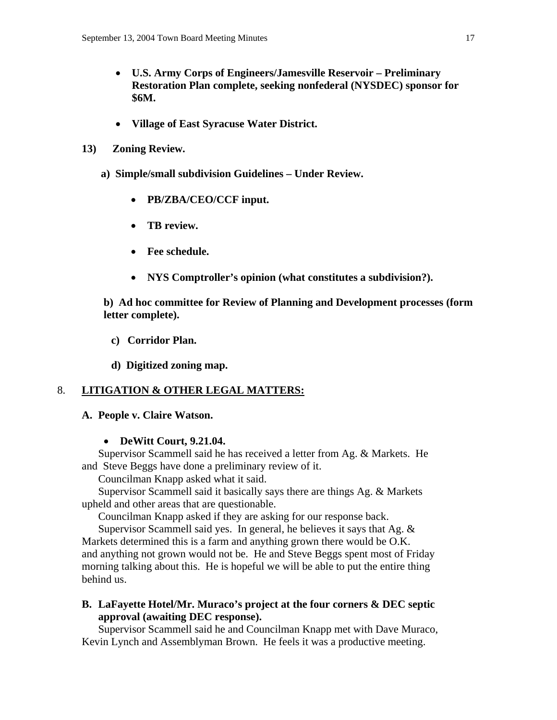- **U.S. Army Corps of Engineers/Jamesville Reservoir Preliminary Restoration Plan complete, seeking nonfederal (NYSDEC) sponsor for \$6M.**
- **Village of East Syracuse Water District.**
- **13) Zoning Review.** 
	- **a) Simple/small subdivision Guidelines Under Review.** 
		- **PB/ZBA/CEO/CCF input.**
		- **TB review.**
		- **Fee schedule.**
		- **NYS Comptroller's opinion (what constitutes a subdivision?).**

**b) Ad hoc committee for Review of Planning and Development processes (form letter complete).** 

- **c) Corridor Plan.**
- **d) Digitized zoning map.**

# 8. **LITIGATION & OTHER LEGAL MATTERS:**

# **A. People v. Claire Watson.**

# • **DeWitt Court, 9.21.04.**

 Supervisor Scammell said he has received a letter from Ag. & Markets. He and Steve Beggs have done a preliminary review of it.

Councilman Knapp asked what it said.

 Supervisor Scammell said it basically says there are things Ag. & Markets upheld and other areas that are questionable.

Councilman Knapp asked if they are asking for our response back.

 Supervisor Scammell said yes. In general, he believes it says that Ag. & Markets determined this is a farm and anything grown there would be O.K. and anything not grown would not be. He and Steve Beggs spent most of Friday morning talking about this. He is hopeful we will be able to put the entire thing behind us.

# **B. LaFayette Hotel/Mr. Muraco's project at the four corners & DEC septic approval (awaiting DEC response).**

 Supervisor Scammell said he and Councilman Knapp met with Dave Muraco, Kevin Lynch and Assemblyman Brown. He feels it was a productive meeting.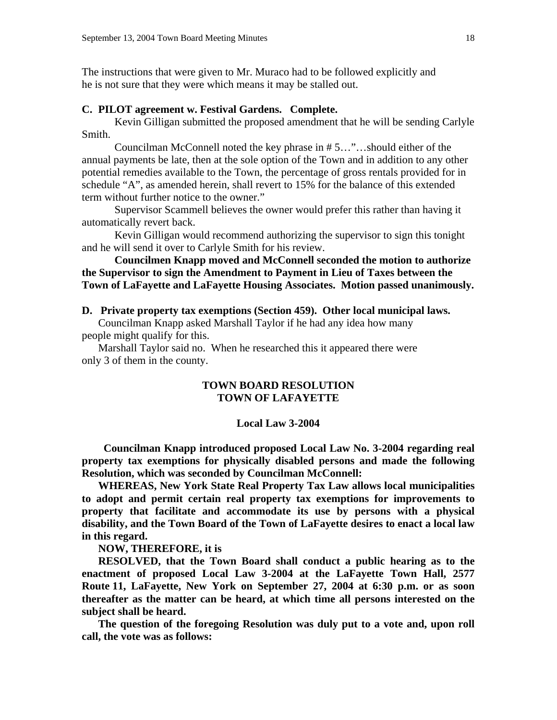The instructions that were given to Mr. Muraco had to be followed explicitly and he is not sure that they were which means it may be stalled out.

# **C. PILOT agreement w. Festival Gardens. Complete.**

Kevin Gilligan submitted the proposed amendment that he will be sending Carlyle Smith.

 Councilman McConnell noted the key phrase in # 5…"…should either of the annual payments be late, then at the sole option of the Town and in addition to any other potential remedies available to the Town, the percentage of gross rentals provided for in schedule "A", as amended herein, shall revert to 15% for the balance of this extended term without further notice to the owner."

 Supervisor Scammell believes the owner would prefer this rather than having it automatically revert back.

 Kevin Gilligan would recommend authorizing the supervisor to sign this tonight and he will send it over to Carlyle Smith for his review.

# **Councilmen Knapp moved and McConnell seconded the motion to authorize the Supervisor to sign the Amendment to Payment in Lieu of Taxes between the Town of LaFayette and LaFayette Housing Associates. Motion passed unanimously.**

#### **D. Private property tax exemptions (Section 459). Other local municipal laws.**

 Councilman Knapp asked Marshall Taylor if he had any idea how many people might qualify for this.

 Marshall Taylor said no. When he researched this it appeared there were only 3 of them in the county.

# **TOWN BOARD RESOLUTION TOWN OF LAFAYETTE**

#### **Local Law 3-2004**

 **Councilman Knapp introduced proposed Local Law No. 3-2004 regarding real property tax exemptions for physically disabled persons and made the following Resolution, which was seconded by Councilman McConnell:** 

**WHEREAS, New York State Real Property Tax Law allows local municipalities to adopt and permit certain real property tax exemptions for improvements to property that facilitate and accommodate its use by persons with a physical disability, and the Town Board of the Town of LaFayette desires to enact a local law in this regard.** 

**NOW, THEREFORE, it is** 

**RESOLVED, that the Town Board shall conduct a public hearing as to the enactment of proposed Local Law 3-2004 at the LaFayette Town Hall, 2577 Route 11, LaFayette, New York on September 27, 2004 at 6:30 p.m. or as soon thereafter as the matter can be heard, at which time all persons interested on the subject shall be heard.** 

**The question of the foregoing Resolution was duly put to a vote and, upon roll call, the vote was as follows:**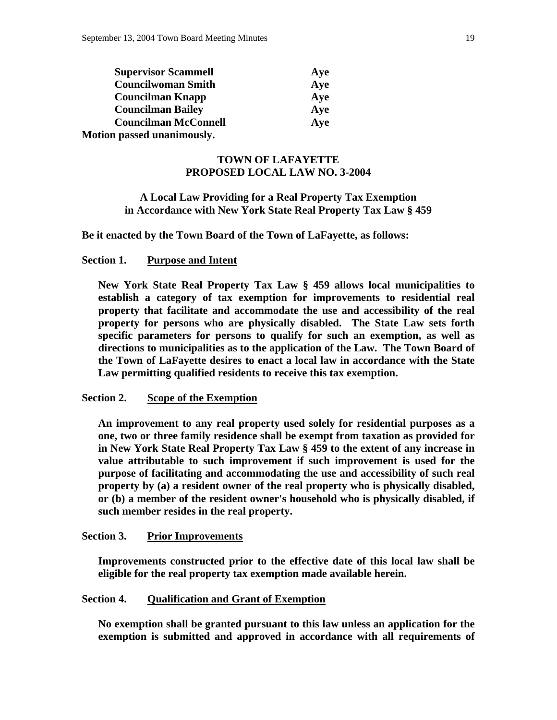| <b>Supervisor Scammell</b>  | Aye |
|-----------------------------|-----|
| <b>Councilwoman Smith</b>   | Aye |
| <b>Councilman Knapp</b>     | Aye |
| <b>Councilman Bailey</b>    | Aye |
| <b>Councilman McConnell</b> | Aye |
| Motion passed unanimously.  |     |

# **TOWN OF LAFAYETTE PROPOSED LOCAL LAW NO. 3-2004**

# **A Local Law Providing for a Real Property Tax Exemption in Accordance with New York State Real Property Tax Law § 459**

**Be it enacted by the Town Board of the Town of LaFayette, as follows:** 

# **Section 1. Purpose and Intent**

 **New York State Real Property Tax Law § 459 allows local municipalities to establish a category of tax exemption for improvements to residential real property that facilitate and accommodate the use and accessibility of the real property for persons who are physically disabled. The State Law sets forth specific parameters for persons to qualify for such an exemption, as well as directions to municipalities as to the application of the Law. The Town Board of the Town of LaFayette desires to enact a local law in accordance with the State Law permitting qualified residents to receive this tax exemption.** 

# **Section 2. Scope of the Exemption**

 **An improvement to any real property used solely for residential purposes as a one, two or three family residence shall be exempt from taxation as provided for in New York State Real Property Tax Law § 459 to the extent of any increase in value attributable to such improvement if such improvement is used for the purpose of facilitating and accommodating the use and accessibility of such real property by (a) a resident owner of the real property who is physically disabled, or (b) a member of the resident owner's household who is physically disabled, if such member resides in the real property.** 

# **Section 3. Prior Improvements**

 **Improvements constructed prior to the effective date of this local law shall be eligible for the real property tax exemption made available herein.** 

#### **Section 4. Qualification and Grant of Exemption**

 **No exemption shall be granted pursuant to this law unless an application for the exemption is submitted and approved in accordance with all requirements of**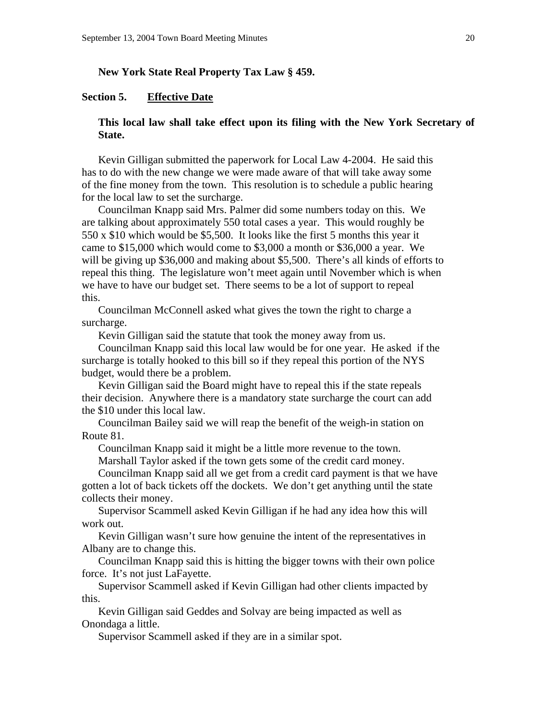# **New York State Real Property Tax Law § 459.**

# **Section 5. Effective Date**

# **This local law shall take effect upon its filing with the New York Secretary of State.**

Kevin Gilligan submitted the paperwork for Local Law 4-2004. He said this has to do with the new change we were made aware of that will take away some of the fine money from the town. This resolution is to schedule a public hearing for the local law to set the surcharge.

 Councilman Knapp said Mrs. Palmer did some numbers today on this. We are talking about approximately 550 total cases a year. This would roughly be 550 x \$10 which would be \$5,500. It looks like the first 5 months this year it came to \$15,000 which would come to \$3,000 a month or \$36,000 a year. We will be giving up \$36,000 and making about \$5,500. There's all kinds of efforts to repeal this thing. The legislature won't meet again until November which is when we have to have our budget set. There seems to be a lot of support to repeal this.

 Councilman McConnell asked what gives the town the right to charge a surcharge.

Kevin Gilligan said the statute that took the money away from us.

 Councilman Knapp said this local law would be for one year. He asked if the surcharge is totally hooked to this bill so if they repeal this portion of the NYS budget, would there be a problem.

 Kevin Gilligan said the Board might have to repeal this if the state repeals their decision. Anywhere there is a mandatory state surcharge the court can add the \$10 under this local law.

 Councilman Bailey said we will reap the benefit of the weigh-in station on Route 81.

Councilman Knapp said it might be a little more revenue to the town.

Marshall Taylor asked if the town gets some of the credit card money.

 Councilman Knapp said all we get from a credit card payment is that we have gotten a lot of back tickets off the dockets. We don't get anything until the state collects their money.

 Supervisor Scammell asked Kevin Gilligan if he had any idea how this will work out.

 Kevin Gilligan wasn't sure how genuine the intent of the representatives in Albany are to change this.

 Councilman Knapp said this is hitting the bigger towns with their own police force. It's not just LaFayette.

 Supervisor Scammell asked if Kevin Gilligan had other clients impacted by this.

 Kevin Gilligan said Geddes and Solvay are being impacted as well as Onondaga a little.

Supervisor Scammell asked if they are in a similar spot.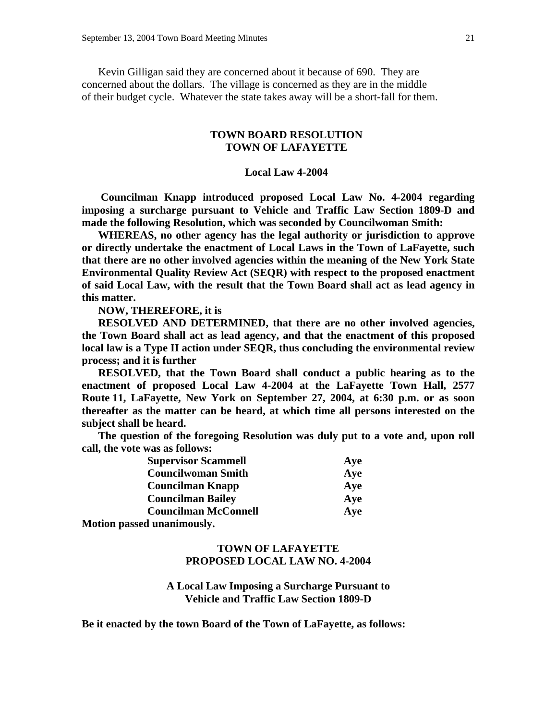Kevin Gilligan said they are concerned about it because of 690. They are concerned about the dollars. The village is concerned as they are in the middle of their budget cycle. Whatever the state takes away will be a short-fall for them.

# **TOWN BOARD RESOLUTION TOWN OF LAFAYETTE**

#### **Local Law 4-2004**

 **Councilman Knapp introduced proposed Local Law No. 4-2004 regarding imposing a surcharge pursuant to Vehicle and Traffic Law Section 1809-D and made the following Resolution, which was seconded by Councilwoman Smith:** 

**WHEREAS, no other agency has the legal authority or jurisdiction to approve or directly undertake the enactment of Local Laws in the Town of LaFayette, such that there are no other involved agencies within the meaning of the New York State Environmental Quality Review Act (SEQR) with respect to the proposed enactment of said Local Law, with the result that the Town Board shall act as lead agency in this matter.** 

**NOW, THEREFORE, it is** 

**RESOLVED AND DETERMINED, that there are no other involved agencies, the Town Board shall act as lead agency, and that the enactment of this proposed local law is a Type II action under SEQR, thus concluding the environmental review process; and it is further** 

**RESOLVED, that the Town Board shall conduct a public hearing as to the enactment of proposed Local Law 4-2004 at the LaFayette Town Hall, 2577 Route 11, LaFayette, New York on September 27, 2004, at 6:30 p.m. or as soon thereafter as the matter can be heard, at which time all persons interested on the subject shall be heard.** 

**The question of the foregoing Resolution was duly put to a vote and, upon roll call, the vote was as follows:** 

| <b>Supervisor Scammell</b>  | Aye |
|-----------------------------|-----|
| <b>Councilwoman Smith</b>   | Aye |
| <b>Councilman Knapp</b>     | Aye |
| <b>Councilman Bailey</b>    | Aye |
| <b>Councilman McConnell</b> | Aye |
|                             |     |

**Motion passed unanimously.** 

# **TOWN OF LAFAYETTE PROPOSED LOCAL LAW NO. 4-2004**

# **A Local Law Imposing a Surcharge Pursuant to Vehicle and Traffic Law Section 1809-D**

**Be it enacted by the town Board of the Town of LaFayette, as follows:**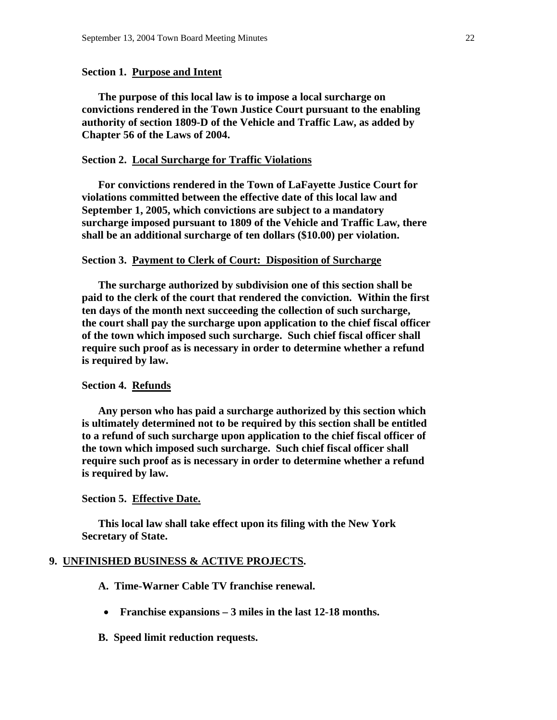## **Section 1. Purpose and Intent**

**The purpose of this local law is to impose a local surcharge on convictions rendered in the Town Justice Court pursuant to the enabling authority of section 1809-D of the Vehicle and Traffic Law, as added by Chapter 56 of the Laws of 2004.** 

## **Section 2. Local Surcharge for Traffic Violations**

 **For convictions rendered in the Town of LaFayette Justice Court for violations committed between the effective date of this local law and September 1, 2005, which convictions are subject to a mandatory surcharge imposed pursuant to 1809 of the Vehicle and Traffic Law, there shall be an additional surcharge of ten dollars (\$10.00) per violation.** 

#### **Section 3. Payment to Clerk of Court: Disposition of Surcharge**

 **The surcharge authorized by subdivision one of this section shall be paid to the clerk of the court that rendered the conviction. Within the first ten days of the month next succeeding the collection of such surcharge, the court shall pay the surcharge upon application to the chief fiscal officer of the town which imposed such surcharge. Such chief fiscal officer shall require such proof as is necessary in order to determine whether a refund is required by law.** 

#### **Section 4. Refunds**

 **Any person who has paid a surcharge authorized by this section which is ultimately determined not to be required by this section shall be entitled to a refund of such surcharge upon application to the chief fiscal officer of the town which imposed such surcharge. Such chief fiscal officer shall require such proof as is necessary in order to determine whether a refund is required by law.** 

#### **Section 5. Effective Date.**

 **This local law shall take effect upon its filing with the New York Secretary of State.** 

#### **9. UNFINISHED BUSINESS & ACTIVE PROJECTS.**

- **A. Time-Warner Cable TV franchise renewal.**
- **Franchise expansions 3 miles in the last 12-18 months.**
- **B. Speed limit reduction requests.**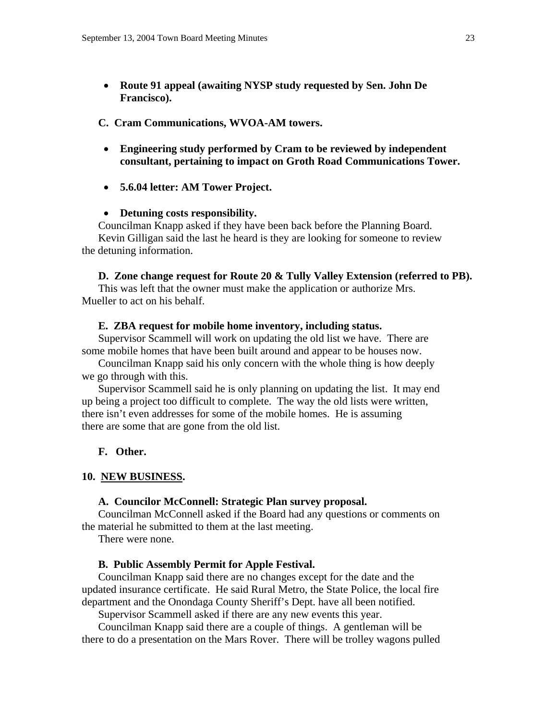• **Route 91 appeal (awaiting NYSP study requested by Sen. John De Francisco).** 

#### **C. Cram Communications, WVOA-AM towers.**

- **Engineering study performed by Cram to be reviewed by independent consultant, pertaining to impact on Groth Road Communications Tower.**
- **5.6.04 letter: AM Tower Project.**

#### • **Detuning costs responsibility.**

 Councilman Knapp asked if they have been back before the Planning Board. Kevin Gilligan said the last he heard is they are looking for someone to review the detuning information.

#### **D. Zone change request for Route 20 & Tully Valley Extension (referred to PB).**

This was left that the owner must make the application or authorize Mrs. Mueller to act on his behalf.

#### **E. ZBA request for mobile home inventory, including status.**

Supervisor Scammell will work on updating the old list we have. There are some mobile homes that have been built around and appear to be houses now.

 Councilman Knapp said his only concern with the whole thing is how deeply we go through with this.

 Supervisor Scammell said he is only planning on updating the list. It may end up being a project too difficult to complete. The way the old lists were written, there isn't even addresses for some of the mobile homes. He is assuming there are some that are gone from the old list.

## **F. Other.**

## **10. NEW BUSINESS.**

#### **A. Councilor McConnell: Strategic Plan survey proposal.**

 Councilman McConnell asked if the Board had any questions or comments on the material he submitted to them at the last meeting.

There were none.

#### **B. Public Assembly Permit for Apple Festival.**

 Councilman Knapp said there are no changes except for the date and the updated insurance certificate. He said Rural Metro, the State Police, the local fire department and the Onondaga County Sheriff's Dept. have all been notified.

Supervisor Scammell asked if there are any new events this year.

 Councilman Knapp said there are a couple of things. A gentleman will be there to do a presentation on the Mars Rover. There will be trolley wagons pulled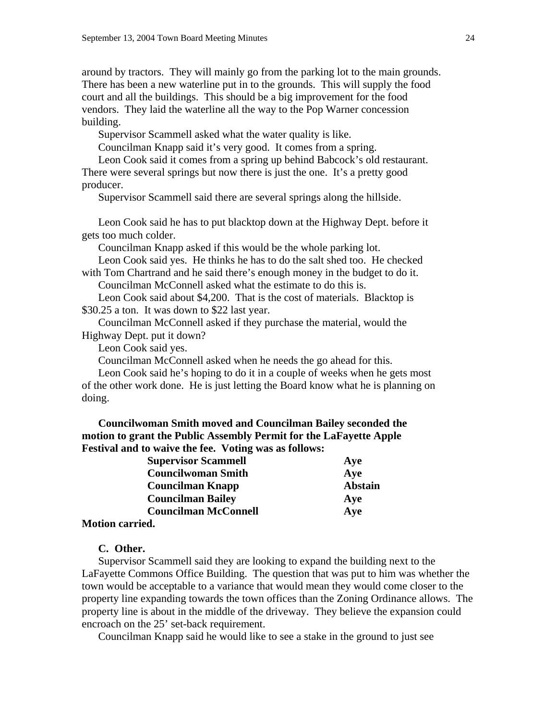around by tractors. They will mainly go from the parking lot to the main grounds. There has been a new waterline put in to the grounds. This will supply the food court and all the buildings. This should be a big improvement for the food vendors. They laid the waterline all the way to the Pop Warner concession building.

Supervisor Scammell asked what the water quality is like.

Councilman Knapp said it's very good. It comes from a spring.

 Leon Cook said it comes from a spring up behind Babcock's old restaurant. There were several springs but now there is just the one. It's a pretty good producer.

Supervisor Scammell said there are several springs along the hillside.

 Leon Cook said he has to put blacktop down at the Highway Dept. before it gets too much colder.

Councilman Knapp asked if this would be the whole parking lot.

 Leon Cook said yes. He thinks he has to do the salt shed too. He checked with Tom Chartrand and he said there's enough money in the budget to do it.

Councilman McConnell asked what the estimate to do this is.

 Leon Cook said about \$4,200. That is the cost of materials. Blacktop is \$30.25 a ton. It was down to \$22 last year.

 Councilman McConnell asked if they purchase the material, would the Highway Dept. put it down?

Leon Cook said yes.

Councilman McConnell asked when he needs the go ahead for this.

 Leon Cook said he's hoping to do it in a couple of weeks when he gets most of the other work done. He is just letting the Board know what he is planning on doing.

**Councilwoman Smith moved and Councilman Bailey seconded the motion to grant the Public Assembly Permit for the LaFayette Apple Festival and to waive the fee. Voting was as follows:** 

| Supervisor Scammen          | Ave            |
|-----------------------------|----------------|
| <b>Councilwoman Smith</b>   | Aye            |
| <b>Councilman Knapp</b>     | <b>Abstain</b> |
| <b>Councilman Bailey</b>    | Aye            |
| <b>Councilman McConnell</b> | Aye            |
| <b>Motion carried.</b>      |                |

**Supervisor Scannell** Aye

## **C. Other.**

 Supervisor Scammell said they are looking to expand the building next to the LaFayette Commons Office Building. The question that was put to him was whether the town would be acceptable to a variance that would mean they would come closer to the property line expanding towards the town offices than the Zoning Ordinance allows. The property line is about in the middle of the driveway. They believe the expansion could encroach on the 25' set-back requirement.

Councilman Knapp said he would like to see a stake in the ground to just see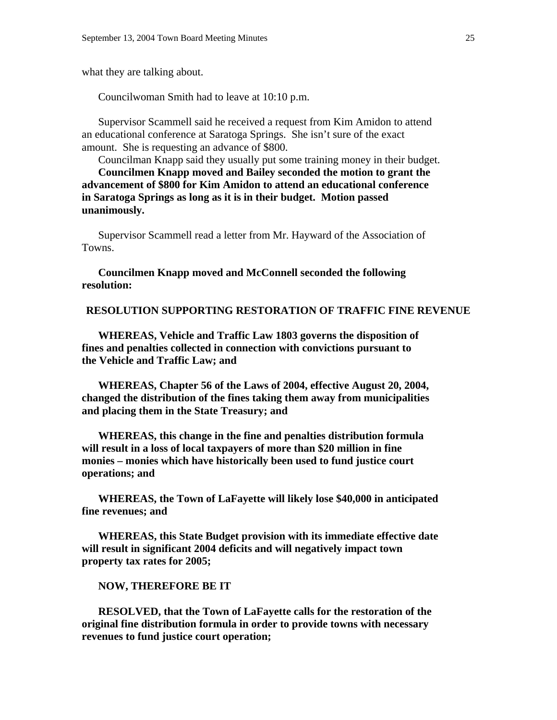what they are talking about.

Councilwoman Smith had to leave at 10:10 p.m.

 Supervisor Scammell said he received a request from Kim Amidon to attend an educational conference at Saratoga Springs. She isn't sure of the exact amount. She is requesting an advance of \$800.

 Councilman Knapp said they usually put some training money in their budget. **Councilmen Knapp moved and Bailey seconded the motion to grant the advancement of \$800 for Kim Amidon to attend an educational conference in Saratoga Springs as long as it is in their budget. Motion passed unanimously.** 

Supervisor Scammell read a letter from Mr. Hayward of the Association of Towns.

**Councilmen Knapp moved and McConnell seconded the following resolution:** 

**RESOLUTION SUPPORTING RESTORATION OF TRAFFIC FINE REVENUE** 

 **WHEREAS, Vehicle and Traffic Law 1803 governs the disposition of fines and penalties collected in connection with convictions pursuant to the Vehicle and Traffic Law; and** 

 **WHEREAS, Chapter 56 of the Laws of 2004, effective August 20, 2004, changed the distribution of the fines taking them away from municipalities and placing them in the State Treasury; and** 

 **WHEREAS, this change in the fine and penalties distribution formula will result in a loss of local taxpayers of more than \$20 million in fine monies – monies which have historically been used to fund justice court operations; and** 

 **WHEREAS, the Town of LaFayette will likely lose \$40,000 in anticipated fine revenues; and** 

 **WHEREAS, this State Budget provision with its immediate effective date will result in significant 2004 deficits and will negatively impact town property tax rates for 2005;** 

#### **NOW, THEREFORE BE IT**

 **RESOLVED, that the Town of LaFayette calls for the restoration of the original fine distribution formula in order to provide towns with necessary revenues to fund justice court operation;**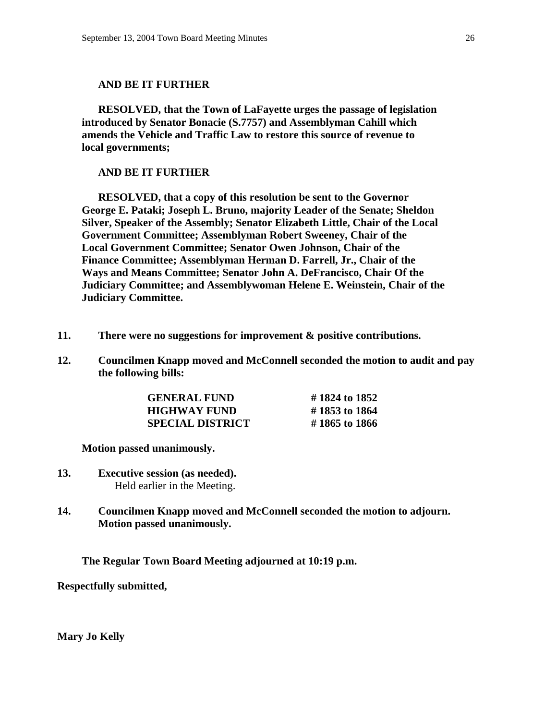#### **AND BE IT FURTHER**

 **RESOLVED, that the Town of LaFayette urges the passage of legislation introduced by Senator Bonacie (S.7757) and Assemblyman Cahill which amends the Vehicle and Traffic Law to restore this source of revenue to local governments;** 

# **AND BE IT FURTHER**

 **RESOLVED, that a copy of this resolution be sent to the Governor George E. Pataki; Joseph L. Bruno, majority Leader of the Senate; Sheldon Silver, Speaker of the Assembly; Senator Elizabeth Little, Chair of the Local Government Committee; Assemblyman Robert Sweeney, Chair of the Local Government Committee; Senator Owen Johnson, Chair of the Finance Committee; Assemblyman Herman D. Farrell, Jr., Chair of the Ways and Means Committee; Senator John A. DeFrancisco, Chair Of the Judiciary Committee; and Assemblywoman Helene E. Weinstein, Chair of the Judiciary Committee.** 

- **11. There were no suggestions for improvement & positive contributions.**
- **12. Councilmen Knapp moved and McConnell seconded the motion to audit and pay the following bills:**

| <b>GENERAL FUND</b>     | #1824 to 1852 |
|-------------------------|---------------|
| <b>HIGHWAY FUND</b>     | #1853 to 1864 |
| <b>SPECIAL DISTRICT</b> | #1865 to 1866 |

 **Motion passed unanimously.** 

- **13. Executive session (as needed).**  Held earlier in the Meeting.
- **14. Councilmen Knapp moved and McConnell seconded the motion to adjourn. Motion passed unanimously.**

 **The Regular Town Board Meeting adjourned at 10:19 p.m.** 

**Respectfully submitted,** 

**Mary Jo Kelly**